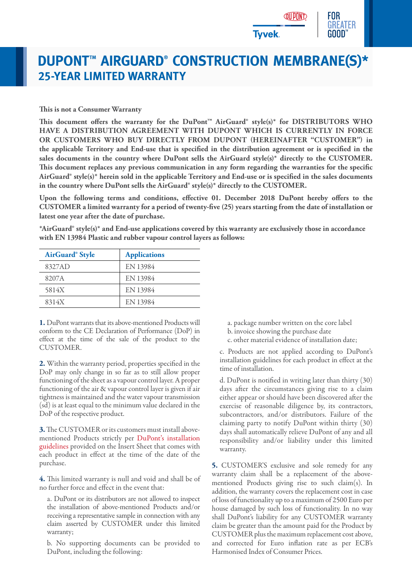

## **DUPONT™ AIRGUARD® CONSTRUCTION MEMBRANE(S)\* 25-YEAR LIMITED WARRANTY**

## **This is not a Consumer Warranty**

This document offers the warranty for the DuPont<sup>™</sup> AirGuard® style(s)\* for DISTRIBUTORS WHO **HAVE A DISTRIBUTION AGREEMENT WITH DUPONT WHICH IS CURRENTLY IN FORCE OR CUSTOMERS WHO BUY DIRECTLY FROM DUPONT (HEREINAFTER "CUSTOMER") in the applicable Territory and End-use that is specified in the distribution agreement or is specified in the sales documents in the country where DuPont sells the AirGuard style(s)\* directly to the CUSTOMER. This document replaces any previous communication in any form regarding the warranties for the specific AirGuard® style(s)\* herein sold in the applicable Territory and End-use or is specified in the sales documents in the country where DuPont sells the AirGuard® style(s)\* directly to the CUSTOMER.**

**Upon the following terms and conditions, effective 01. December 2018 DuPont hereby offers to the CUSTOMER a limited warranty for a period of twenty-five (25) years starting from the date of installation or latest one year after the date of purchase.**

**\*AirGuard® style(s)\* and End-use applications covered by this warranty are exclusively those in accordance with EN 13984 Plastic and rubber vapour control layers as follows:**

| AirGuard® Style | <b>Applications</b> |
|-----------------|---------------------|
| 8327AD          | EN 13984            |
| 8207A           | EN 13984            |
| 5814X           | EN 13984            |
| 8314X           | EN 13984            |
|                 |                     |

**1.** DuPont warrants that its above-mentioned Products will conform to the CE Declaration of Performance (DoP) in effect at the time of the sale of the product to the CUSTOMER.

**2.** Within the warranty period, properties specified in the DoP may only change in so far as to still allow proper functioning of the sheet as a vapour control layer. A proper functioning of the air & vapour control layer is given if air tightness is maintained and the water vapour transmission (sd) is at least equal to the minimum value declared in the DoP of the respective product.

**3.**The CUSTOMER or its customers must install abovementioned Products strictly per DuPont's installation guidelines provided on the Insert Sheet that comes with each product in effect at the time of the date of the purchase.

**4.** This limited warranty is null and void and shall be of no further force and effect in the event that:

a. DuPont or its distributors are not allowed to inspect the installation of above-mentioned Products and/or receiving a representative sample in connection with any claim asserted by CUSTOMER under this limited warranty;

b. No supporting documents can be provided to DuPont, including the following:

a. package number written on the core label

b. invoice showing the purchase date

c. other material evidence of installation date;

c. Products are not applied according to DuPont's installation guidelines for each product in effect at the time of installation.

d. DuPont is notified in writing later than thirty (30) days after the circumstances giving rise to a claim either appear or should have been discovered after the exercise of reasonable diligence by, its contractors, subcontractors, and/or distributors. Failure of the claiming party to notify DuPont within thirty (30) days shall automatically relieve DuPont of any and all responsibility and/or liability under this limited warranty.

**5.** CUSTOMER'S exclusive and sole remedy for any warranty claim shall be a replacement of the abovementioned Products giving rise to such claim(s). In addition, the warranty covers the replacement cost in case of loss of functionality up to a maximum of 2500 Euro per house damaged by such loss of functionality. In no way shall DuPont's liability for any CUSTOMER warranty claim be greater than the amount paid for the Product by CUSTOMER plus the maximum replacement cost above, and corrected for Euro inflation rate as per ECB's Harmonised Index of Consumer Prices.